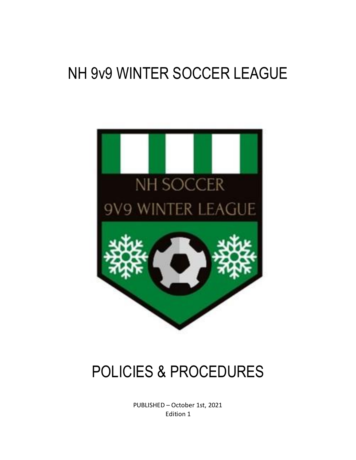# NH 9v9 WINTER SOCCER LEAGUE



# POLICIES & PROCEDURES

PUBLISHED – October 1st, 2021 Edition 1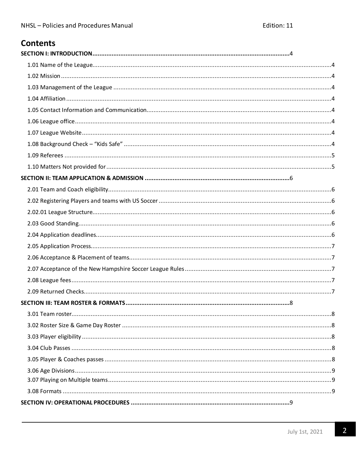# **Contents**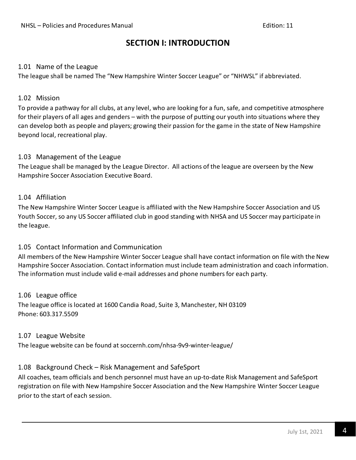### **SECTION I: INTRODUCTION**

### <span id="page-3-1"></span><span id="page-3-0"></span>1.01 Name of the League

The league shall be named The "New Hampshire Winter Soccer League" or "NHWSL" if abbreviated.

### <span id="page-3-2"></span>1.02 Mission

To provide a pathway for all clubs, at any level, who are looking for a fun, safe, and competitive atmosphere for their players of all ages and genders – with the purpose of putting our youth into situations where they can develop both as people and players; growing their passion for the game in the state of New Hampshire beyond local, recreational play.

### <span id="page-3-3"></span>1.03 Management of the League

The League shall be managed by the League Director. All actions of the league are overseen by the New Hampshire Soccer Association Executive Board.

### <span id="page-3-4"></span>1.04 Affiliation

The New Hampshire Winter Soccer League is affiliated with the New Hampshire Soccer Association and US Youth Soccer, so any US Soccer affiliated club in good standing with NHSA and US Soccer may participate in the league.

### <span id="page-3-5"></span>1.05 Contact Information and Communication

All members of the New Hampshire Winter Soccer League shall have contact information on file with the New Hampshire Soccer Association. Contact information must include team administration and coach information. The information must include valid e-mail addresses and phone numbers for each party.

<span id="page-3-6"></span>1.06 League office The league office is located at 1600 Candia Road, Suite 3, Manchester, NH 03109 Phone: 603.317.5509

### <span id="page-3-7"></span>1.07 League Website

The league website can be found at soccernh.com/nhsa-9v9-winter-league/

### <span id="page-3-8"></span>1.08 Background Check – Risk Management and SafeSport

All coaches, team officials and bench personnel must have an up-to-date Risk Management and SafeSport registration on file with New Hampshire Soccer Association and the New Hampshire Winter Soccer League prior to the start of each session.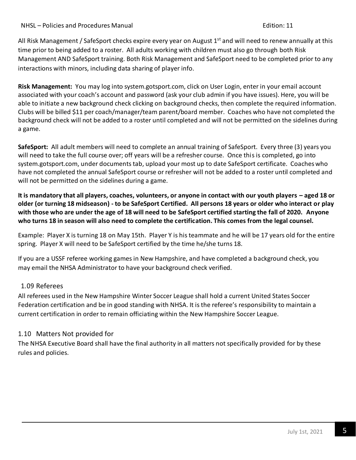### NHSL – Policies and Procedures Manual Edition: 11

All Risk Management / SafeSport checks expire every year on August 1<sup>st</sup> and will need to renew annually at this time prior to being added to a roster. All adults working with children must also go through both Risk Management AND SafeSport training. Both Risk Management and SafeSport need to be completed prior to any interactions with minors, including data sharing of player info.

**Risk Management:** You may log into system.gotsport.com, click on User Login, enter in your email account associated with your coach's account and password (ask your club admin if you have issues). Here, you will be able to initiate a new background check clicking on background checks, then complete the required information. Clubs will be billed \$11 per coach/manager/team parent/board member. Coaches who have not completed the background check will not be added to a roster until completed and will not be permitted on the sidelines during a game.

**SafeSport:** All adult members will need to complete an annual training of SafeSport. Every three (3) years you will need to take the full course over; off years will be a refresher course. Once this is completed, go into system.gotsport.com, under documents tab, upload your most up to date SafeSport certificate. Coaches who have not completed the annual SafeSport course or refresher will not be added to a roster until completed and will not be permitted on the sidelines during a game.

**It is mandatory that all players, coaches, volunteers, or anyone in contact with our youth players – aged 18 or older (or turning 18 midseason) - to be SafeSport Certified. All persons 18 years or older who interact or play with those who are under the age of 18 will need to be SafeSport certified starting the fall of 2020. Anyone who turns 18 in season will also need to complete the certification. This comes from the legal counsel.**

Example: Player X is turning 18 on May 15th. Player Y is his teammate and he will be 17 years old for the entire spring. Player X will need to be SafeSport certified by the time he/she turns 18.

If you are a USSF referee working games in New Hampshire, and have completed a background check, you may email the NHSA Administrator to have your background check verified.

### <span id="page-4-0"></span>1.09 Referees

All referees used in the New Hampshire Winter Soccer League shall hold a current United States Soccer Federation certification and be in good standing with NHSA. It is the referee's responsibility to maintain a current certification in order to remain officiating within the New Hampshire Soccer League.

### <span id="page-4-1"></span>1.10 Matters Not provided for

The NHSA Executive Board shall have the final authority in all matters not specifically provided for by these rules and policies.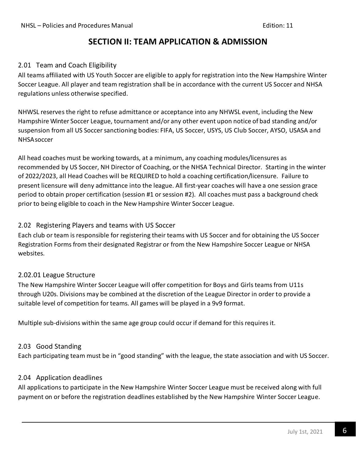## **SECTION II: TEAM APPLICATION & ADMISSION**

### <span id="page-5-0"></span>2.01 Team and Coach Eligibility

All teams affiliated with US Youth Soccer are eligible to apply for registration into the New Hampshire Winter Soccer League. All player and team registration shall be in accordance with the current US Soccer and NHSA regulations unless otherwise specified.

NHWSL reserves the right to refuse admittance or acceptance into any NHWSL event, including the New Hampshire Winter Soccer League, tournament and/or any other event upon notice of bad standing and/or suspension from all US Soccer sanctioning bodies: FIFA, US Soccer, USYS, US Club Soccer, AYSO, USASA and NHSAsoccer

All head coaches must be working towards, at a minimum, any coaching modules/licensures as recommended by US Soccer, NH Director of Coaching, or the NHSA Technical Director. Starting in the winter of 2022/2023, all Head Coaches will be REQUIRED to hold a coaching certification/licensure. Failure to present licensure will deny admittance into the league. All first-year coaches will have a one session grace period to obtain proper certification (session #1 or session #2). All coaches must pass a background check prior to being eligible to coach in the New Hampshire Winter Soccer League.

### <span id="page-5-1"></span>2.02 Registering Players and teams with US Soccer

Each club or team is responsible for registering their teams with US Soccer and for obtaining the US Soccer Registration Forms from their designated Registrar or from the New Hampshire Soccer League or NHSA websites.

### <span id="page-5-2"></span>2.02.01 League Structure

The New Hampshire Winter Soccer League will offer competition for Boys and Girls teams from U11s through U20s. Divisions may be combined at the discretion of the League Director in order to provide a suitable level of competition for teams. All games will be played in a 9v9 format.

Multiple sub-divisions within the same age group could occur if demand for this requires it.

### <span id="page-5-3"></span>2.03 Good Standing

Each participating team must be in "good standing" with the league, the state association and with US Soccer.

### <span id="page-5-4"></span>2.04 Application deadlines

All applications to participate in the New Hampshire Winter Soccer League must be received along with full payment on or before the registration deadlines established by the New Hampshire Winter Soccer League.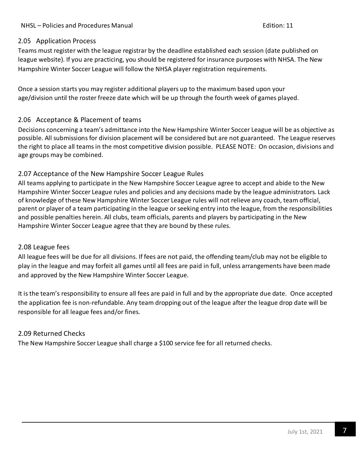### <span id="page-6-0"></span>2.05 Application Process

Teams must register with the league registrar by the deadline established each session (date published on league website). If you are practicing, you should be registered for insurance purposes with NHSA. The New Hampshire Winter Soccer League will follow the NHSA player registration requirements.

Once a session starts you may register additional players up to the maximum based upon your age/division until the roster freeze date which will be up through the fourth week of games played.

### <span id="page-6-1"></span>2.06 Acceptance & Placement of teams

Decisions concerning a team's admittance into the New Hampshire Winter Soccer League will be as objective as possible. All submissions for division placement will be considered but are not guaranteed. The League reserves the right to place all teams in the most competitive division possible. PLEASE NOTE: On occasion, divisions and age groups may be combined.

### <span id="page-6-2"></span>2.07 Acceptance of the New Hampshire Soccer League Rules

All teams applying to participate in the New Hampshire Soccer League agree to accept and abide to the New Hampshire Winter Soccer League rules and policies and any decisions made by the league administrators. Lack of knowledge of these New Hampshire Winter Soccer League rules will not relieve any coach, team official, parent or player of a team participating in the league or seeking entry into the league, from the responsibilities and possible penalties herein. All clubs, team officials, parents and players by participating in the New Hampshire Winter Soccer League agree that they are bound by these rules.

### <span id="page-6-3"></span>2.08 League fees

All league fees will be due for all divisions. If fees are not paid, the offending team/club may not be eligible to play in the league and may forfeit all games until all fees are paid in full, unless arrangements have been made and approved by the New Hampshire Winter Soccer League.

It is the team's responsibility to ensure all fees are paid in full and by the appropriate due date. Once accepted the application fee is non-refundable. Any team dropping out of the league after the league drop date will be responsible for all league fees and/or fines.

### <span id="page-6-4"></span>2.09 Returned Checks

The New Hampshire Soccer League shall charge a \$100 service fee for all returned checks.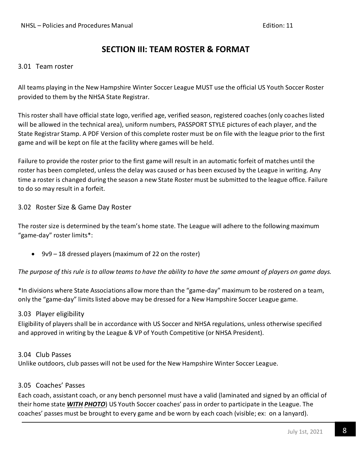## **SECTION III: TEAM ROSTER & FORMAT**

### <span id="page-7-0"></span>3.01 Team roster

All teams playing in the New Hampshire Winter Soccer League MUST use the official US Youth Soccer Roster provided to them by the NHSA State Registrar.

This roster shall have official state logo, verified age, verified season, registered coaches (only coaches listed will be allowed in the technical area), uniform numbers, PASSPORT STYLE pictures of each player, and the State Registrar Stamp. A PDF Version of this complete roster must be on file with the league prior to the first game and will be kept on file at the facility where games will be held.

Failure to provide the roster prior to the first game will result in an automatic forfeit of matches until the roster has been completed, unless the delay was caused or has been excused by the League in writing. Any time a roster is changed during the season a new State Roster must be submitted to the league office. Failure to do so may result in a forfeit.

### <span id="page-7-1"></span>3.02 Roster Size & Game Day Roster

The roster size is determined by the team's home state. The League will adhere to the following maximum "game-day" roster limits\*:

• 9v9 – 18 dressed players (maximum of 22 on the roster)

*The purpose of this rule is to allow teams to have the ability to have the same amount of players on game days.*

\*In divisions where State Associations allow more than the "game-day" maximum to be rostered on a team, only the "game-day" limits listed above may be dressed for a New Hampshire Soccer League game.

### 3.03 Player eligibility

Eligibility of players shall be in accordance with US Soccer and NHSA regulations, unless otherwise specified and approved in writing by the League & VP of Youth Competitive (or NHSA President).

#### <span id="page-7-2"></span>3.04 Club Passes

Unlike outdoors, club passes will not be used for the New Hampshire Winter Soccer League.

#### <span id="page-7-3"></span>3.05 Coaches' Passes

Each coach, assistant coach, or any bench personnel must have a valid (laminated and signed by an official of their home state *WITH PHOTO*) US Youth Soccer coaches' pass in order to participate in the League. The coaches' passes must be brought to every game and be worn by each coach (visible; ex: on a lanyard).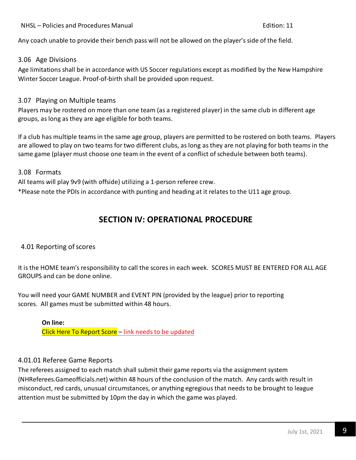### NHSL – Policies and Procedures Manual Edition: 11

Any coach unable to provide their bench pass will not be allowed on the player's side of the field.

### <span id="page-8-0"></span>3.06 Age Divisions

Age limitations shall be in accordance with US Soccer regulations except as modified by the New Hampshire Winter Soccer League. Proof-of-birth shall be provided upon request.

### <span id="page-8-1"></span>3.07 Playing on Multiple teams

Players may be rostered on more than one team (as a registered player) in the same club in different age groups, as long as they are age eligible for both teams.

If a club has multiple teams in the same age group, players are permitted to be rostered on both teams. Players are allowed to play on two teams for two different clubs, as long as they are not playing for both teams in the same game (player must choose one team in the event of a conflict of schedule between both teams).

<span id="page-8-2"></span>3.08 Formats

All teams will play 9v9 (with offside) utilizing a 1-person referee crew.

\*Please note the PDIs in accordance with punting and heading at it relates to the U11 age group.

# **SECTION IV: OPERATIONAL PROCEDURE**

### <span id="page-8-3"></span>4.01 Reporting of scores

It is the HOME team's responsibility to call the scores in each week. SCORES MUST BE ENTERED FOR ALL AGE GROUPS and can be done online.

You will need your GAME NUMBER and EVENT PIN (provided by the league) prior to reporting scores. All games must be submitted within 48 hours.

**On line:** [Click Here To Report Score](https://www.gotsport.com/events/scoring/Default.aspx) - link needs to be updated

### <span id="page-8-4"></span>4.01.01 Referee Game Reports

The referees assigned to each match shall submit their game reports via the assignment system (NHReferees.Gameofficials.net) within 48 hours of the conclusion of the match. Any cards with result in misconduct, red cards, unusual circumstances, or anything egregious that needs to be brought to league attention must be submitted by 10pm the day in which the game was played.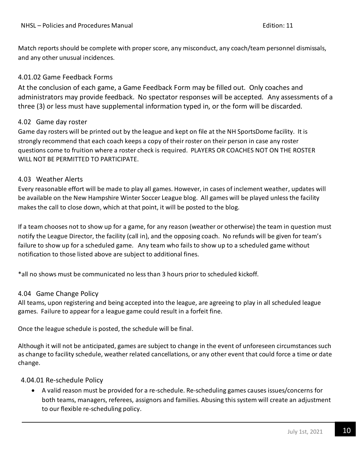Match reports should be complete with proper score, any misconduct, any coach/team personnel dismissals, and any other unusual incidences.

### 4.01.02 Game Feedback Forms

At the conclusion of each game, a Game Feedback Form may be filled out. Only coaches and administrators may provide feedback. No spectator responses will be accepted. Any assessments of a three (3) or less must have supplemental information typed in, or the form will be discarded.

### <span id="page-9-0"></span>4.02 Game day roster

Game day rosters will be printed out by the league and kept on file at the NH SportsDome facility. It is strongly recommend that each coach keeps a copy of their roster on their person in case any roster questions come to fruition where a roster check is required. PLAYERS OR COACHES NOT ON THE ROSTER WILL NOT BE PERMITTED TO PARTICIPATE.

### <span id="page-9-1"></span>4.03 Weather Alerts

Every reasonable effort will be made to play all games. However, in cases of inclement weather, updates will be available on the New Hampshire Winter Soccer League blog. All games will be played unless the facility makes the call to close down, which at that point, it will be posted to the blog.

If a team chooses not to show up for a game, for any reason (weather or otherwise) the team in question must notify the League Director, the facility (call in), and the opposing coach. No refunds will be given for team's failure to show up for a scheduled game. Any team who fails to show up to a scheduled game without notification to those listed above are subject to additional fines.

\*all no shows must be communicated no less than 3 hours prior to scheduled kickoff.

### <span id="page-9-2"></span>4.04 Game Change Policy

All teams, upon registering and being accepted into the league, are agreeing to play in all scheduled league games. Failure to appear for a league game could result in a forfeit fine.

Once the league schedule is posted, the schedule will be final.

Although it will not be anticipated, games are subject to change in the event of unforeseen circumstances such as change to facility schedule, weather related cancellations, or any other event that could force a time or date change.

### <span id="page-9-3"></span>4.04.01 Re-schedule Policy

• A valid reason must be provided for a re-schedule. Re-scheduling games causes issues/concerns for both teams, managers, referees, assignors and families. Abusing this system will create an adjustment to our flexible re-scheduling policy.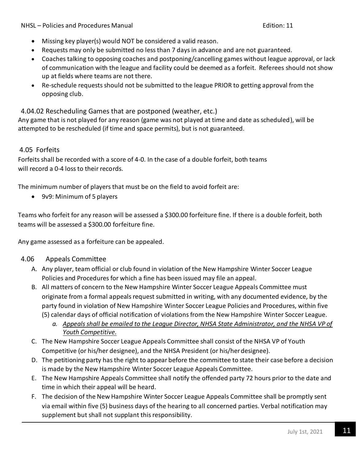NHSL – Policies and Procedures Manual Edition: 11

- Missing key player(s) would NOT be considered a valid reason.
- Requests may only be submitted no less than 7 days in advance and are not guaranteed.
- Coaches talking to opposing coaches and postponing/cancelling games without league approval, or lack of communication with the league and facility could be deemed as a forfeit. Referees should not show up at fields where teams are not there.
- Re-schedule requests should not be submitted to the league PRIOR to getting approval from the opposing club.

4.04.02 Rescheduling Games that are postponed (weather, etc.)

Any game that is not played for any reason (game was not played at time and date as scheduled), will be attempted to be rescheduled (if time and space permits), but is not guaranteed.

### <span id="page-10-0"></span>4.05 Forfeits

Forfeits shall be recorded with a score of 4-0. In the case of a double forfeit, both teams will record a 0-4 loss to their records.

The minimum number of players that must be on the field to avoid forfeit are:

• 9v9: Minimum of 5 players

Teams who forfeit for any reason will be assessed a \$300.00 forfeiture fine. If there is a double forfeit, both teams will be assessed a \$300.00 forfeiture fine.

Any game assessed as a forfeiture can be appealed.

### 4.06 Appeals Committee

- A. Any player, team official or club found in violation of the New Hampshire Winter Soccer League Policies and Procedures for which a fine has been issued may file an appeal.
- B. All matters of concern to the New Hampshire Winter Soccer League Appeals Committee must originate from a formal appeals request submitted in writing, with any documented evidence, by the party found in violation of New Hampshire Winter Soccer League Policies and Procedures, within five (5) calendar days of official notification of violations from the New Hampshire Winter Soccer League.
	- *a. Appeals shall be emailed to the League Director, NHSA State Administrator, and the NHSA VP of Youth Competitive.*
- C. The New Hampshire Soccer League Appeals Committee shall consist of the NHSA VP of Youth Competitive (or his/her designee), and the NHSA President (or his/herdesignee).
- D. The petitioning party has the right to appear before the committee to state their case before a decision is made by the New Hampshire Winter Soccer League Appeals Committee.
- E. The New Hampshire Appeals Committee shall notify the offended party 72 hours prior to the date and time in which their appeal will be heard.
- F. The decision of the New Hampshire Winter Soccer League Appeals Committee shall be promptly sent via email within five (5) business days of the hearing to all concerned parties. Verbal notification may supplement but shall not supplant this responsibility.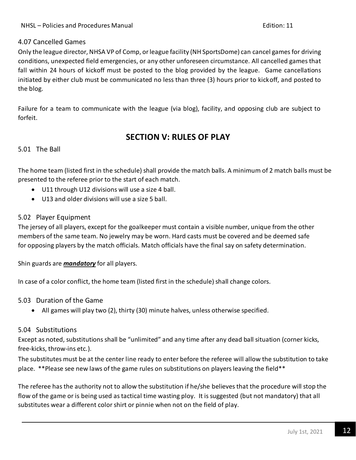### 4.07 Cancelled Games

Only the league director, NHSA VP of Comp, or league facility (NH SportsDome) can cancel games for driving conditions, unexpected field emergencies, or any other unforeseen circumstance. All cancelled games that fall within 24 hours of kickoff must be posted to the blog provided by the league. Game cancellations initiated by either club must be communicated no less than three (3) hours prior to kickoff, and posted to the blog.

Failure for a team to communicate with the league (via blog), facility, and opposing club are subject to forfeit.

## **SECTION V: RULES OF PLAY**

<span id="page-11-0"></span>5.01 The Ball

The home team (listed first in the schedule) shall provide the match balls. A minimum of 2 match balls must be presented to the referee prior to the start of each match.

- U11 through U12 divisions will use a size 4 ball.
- U13 and older divisions will use a size 5 ball.

### <span id="page-11-1"></span>5.02 Player Equipment

The jersey of all players, except for the goalkeeper must contain a visible number, unique from the other members of the same team. No jewelry may be worn. Hard casts must be covered and be deemed safe for opposing players by the match officials. Match officials have the final say on safety determination.

Shin guards are *mandatory* for all players.

In case of a color conflict, the home team (listed first in the schedule) shall change colors.

<span id="page-11-2"></span>5.03 Duration of the Game

• All games will play two (2), thirty (30) minute halves, unless otherwise specified.

### <span id="page-11-3"></span>5.04 Substitutions

Except as noted, substitutions shall be "unlimited" and any time after any dead ball situation (corner kicks, free-kicks, throw-ins etc.).

The substitutes must be at the center line ready to enter before the referee will allow the substitution to take place. \*\*Please see new laws of the game rules on substitutions on players leaving the field\*\*

The referee has the authority not to allow the substitution if he/she believes that the procedure will stop the flow of the game or is being used as tactical time wasting ploy. It is suggested (but not mandatory) that all substitutes wear a different color shirt or pinnie when not on the field of play.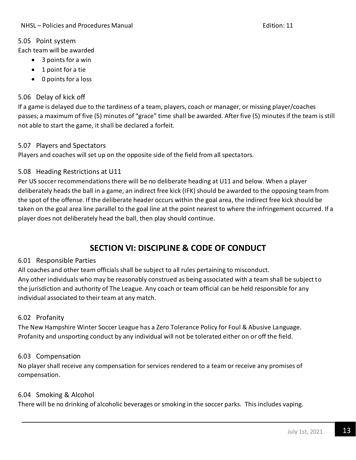### <span id="page-12-0"></span>5.05 Point system

Each team will be awarded

- 3 points for a win
- 1 point for a tie
- 0 points for a loss

### <span id="page-12-1"></span>5.06 Delay of kick off

If a game is delayed due to the tardiness of a team, players, coach or manager, or missing player/coaches passes; a maximum of five (5) minutes of "grace" time shall be awarded. After five (5) minutes if the team is still not able to start the game, it shall be declared a forfeit.

### <span id="page-12-2"></span>5.07 Players and Spectators

Players and coaches will set up on the opposite side of the field from all spectators.

### 5.08 Heading Restrictions at U11

Per US soccer recommendations there will be no deliberate heading at U11 and below. When a player deliberately heads the ball in a game, an indirect free kick (IFK) should be awarded to the opposing team from the spot of the offense. If the deliberate header occurs within the goal area, the indirect free kick should be taken on the goal area line parallel to the goal line at the point nearest to where the infringement occurred. If a player does not deliberately head the ball, then play should continue.

# **SECTION VI: DISCIPLINE & CODE OF CONDUCT**

### <span id="page-12-3"></span>6.01 Responsible Parties

All coaches and other team officials shall be subject to all rules pertaining to misconduct. Any other individuals who may be reasonably construed as being associated with a team shall be subject to the jurisdiction and authority of The League. Any coach or team official can be held responsible for any individual associated to their team at any match.

### <span id="page-12-4"></span>6.02 Profanity

The New Hampshire Winter Soccer League has a Zero Tolerance Policy for Foul & Abusive Language. Profanity and unsporting conduct by any individual will not be tolerated either on or off the field.

### <span id="page-12-5"></span>6.03 Compensation

No player shall receive any compensation for services rendered to a team or receive any promises of compensation.

### <span id="page-12-6"></span>6.04 Smoking & Alcohol

There will be no drinking of alcoholic beverages or smoking in the soccer parks. This includes vaping.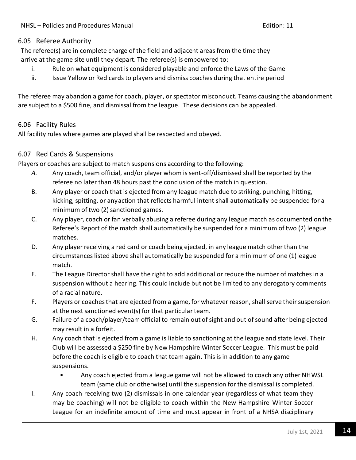### <span id="page-13-0"></span>6.05 Referee Authority

The referee(s) are in complete charge of the field and adjacent areas from the time they arrive at the game site until they depart. The referee(s) is empowered to:

- i. Rule on what equipment is considered playable and enforce the Laws of the Game
- ii. Issue Yellow or Red cards to players and dismiss coaches during that entire period

The referee may abandon a game for coach, player, or spectator misconduct. Teams causing the abandonment are subject to a \$500 fine, and dismissal from the league. These decisions can be appealed.

### <span id="page-13-1"></span>6.06 Facility Rules

All facility rules where games are played shall be respected and obeyed.

### <span id="page-13-2"></span>6.07 Red Cards & Suspensions

Players or coaches are subject to match suspensions according to the following:

- *A.* Any coach, team official, and/or player whom is sent-off/dismissed shall be reported by the referee no later than 48 hours past the conclusion of the match in question.
- B. Any player or coach that is ejected from any league match due to striking, punching, hitting, kicking, spitting, or anyaction that reflects harmful intent shall automatically be suspended for a minimum of two (2) sanctioned games.
- C. Any player, coach or fan verbally abusing a referee during any league match as documented on the Referee's Report of the match shall automatically be suspended for a minimum of two (2) league matches.
- D. Any player receiving a red card or coach being ejected, in any league match other than the circumstances listed above shall automatically be suspended for a minimum of one (1)league match.
- E. The League Director shall have the right to add additional or reduce the number of matches in a suspension without a hearing. This could include but not be limited to any derogatory comments of a racial nature.
- F. Players or coaches that are ejected from a game, for whatever reason, shall serve their suspension at the next sanctioned event(s) for that particular team.
- G. Failure of a coach/player/team official to remain out of sight and out ofsound after being ejected may result in a forfeit.
- H. Any coach that is ejected from a game is liable to sanctioning at the league and state level. Their Club will be assessed a \$250 fine by New Hampshire Winter Soccer League. This must be paid before the coach is eligible to coach that team again. This is in addition to any game suspensions.
	- Any coach ejected from a league game will not be allowed to coach any other NHWSL team (same club or otherwise) until the suspension for the dismissal is completed.
- I. Any coach receiving two (2) dismissals in one calendar year (regardless of what team they may be coaching) will not be eligible to coach within the New Hampshire Winter Soccer League for an indefinite amount of time and must appear in front of a NHSA disciplinary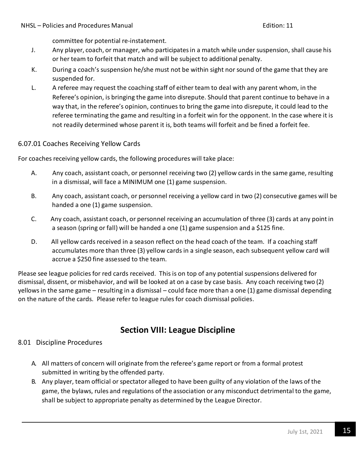committee for potential re-instatement.

- J. Any player, coach, or manager, who participatesin a match while under suspension, shall cause his or her team to forfeit that match and will be subject to additional penalty.
- K. During a coach's suspension he/she must not be within sight nor sound of the game that they are suspended for.
- L. A referee may request the coaching staff of either team to deal with any parent whom, in the Referee's opinion, is bringing the game into disrepute. Should that parent continue to behave in a way that, in the referee's opinion, continues to bring the game into disrepute, it could lead to the referee terminating the game and resulting in a forfeit win for the opponent. In the case where it is not readily determined whose parent it is, both teams will forfeit and be fined a forfeit fee.

### 6.07.01 Coaches Receiving Yellow Cards

For coaches receiving yellow cards, the following procedures will take place:

- A. Any coach, assistant coach, or personnel receiving two (2) yellow cards in the same game, resulting in a dismissal, will face a MINIMUM one (1) game suspension.
- B. Any coach, assistant coach, or personnel receiving a yellow card in two (2) consecutive games will be handed a one (1) game suspension.
- C. Any coach, assistant coach, or personnel receiving an accumulation of three (3) cards at any point in a season (spring or fall) will be handed a one (1) game suspension and a \$125 fine.
- D. All yellow cards received in a season reflect on the head coach of the team. If a coaching staff accumulates more than three (3) yellow cards in a single season, each subsequent yellow card will accrue a \$250 fine assessed to the team.

Please see league policies for red cards received. This is on top of any potential suspensions delivered for dismissal, dissent, or misbehavior, and will be looked at on a case by case basis. Any coach receiving two (2) yellows in the same game – resulting in a dismissal – could face more than a one (1) game dismissal depending on the nature of the cards. Please refer to league rules for coach dismissal policies.

### **Section VIII: League Discipline**

#### <span id="page-14-0"></span>8.01 Discipline Procedures

- A. All matters of concern will originate from the referee's game report or from a formal protest submitted in writing by the offended party.
- B. Any player, team official or spectator alleged to have been guilty of any violation of the laws of the game, the bylaws, rules and regulations of the association or any misconduct detrimental to the game, shall be subject to appropriate penalty as determined by the League Director.